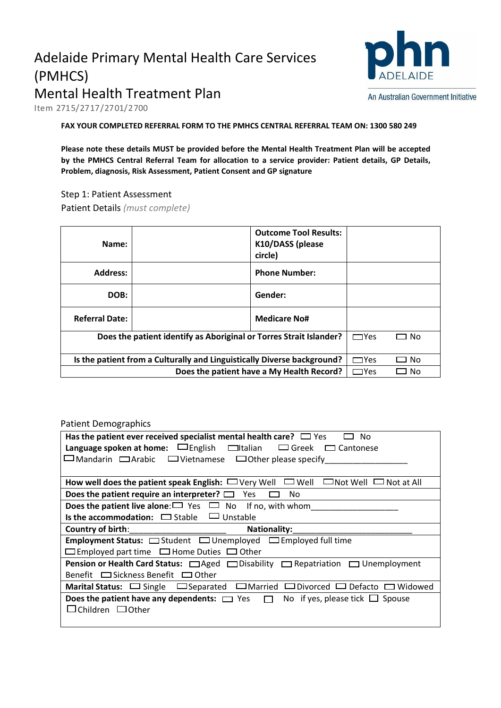# Adelaide Primary Mental Health Care Services (PMHCS) Mental Health Treatment Plan



Item 2715/2717/2701/2700

**FAX YOUR COMPLETED REFERRAL FORM TO THE PMHCS CENTRAL REFERRAL TEAM ON: 1300 580 249**

**Please note these details MUST be provided before the Mental Health Treatment Plan will be accepted by the PMHCS Central Referral Team for allocation to a service provider: Patient details, GP Details, Problem, diagnosis, Risk Assessment, Patient Consent and GP signature** 

Step 1: Patient Assessment

Patient Details *(must complete)* 

| Name:                                                                   |  | <b>Outcome Tool Results:</b><br>K10/DASS (please<br>circle) |            |      |
|-------------------------------------------------------------------------|--|-------------------------------------------------------------|------------|------|
| <b>Address:</b>                                                         |  | <b>Phone Number:</b>                                        |            |      |
| DOB:                                                                    |  | Gender:                                                     |            |      |
| <b>Referral Date:</b>                                                   |  | <b>Medicare No#</b>                                         |            |      |
| Does the patient identify as Aboriginal or Torres Strait Islander?      |  |                                                             | $\Box$ Yes | □ No |
| Is the patient from a Culturally and Linguistically Diverse background? |  |                                                             | $\Box$ Yes | No   |
| Does the patient have a My Health Record?                               |  |                                                             | $\Box$ Yes | No   |

#### Patient Demographics

| Has the patient ever received specialist mental health care? $\Box$ Yes<br>No.                                   |  |  |
|------------------------------------------------------------------------------------------------------------------|--|--|
| <b>Language spoken at home:</b> $\Box$ English $\Box$ Italian $\Box$ Greek $\Box$ Cantonese                      |  |  |
| $\square$ Mandarin $\square$ Arabic $\square$ Vietnamese $\square$ Other please specify                          |  |  |
|                                                                                                                  |  |  |
| $\square$ Well<br>How well does the patient speak English: $\Box$ Very Well<br>$\Box$ Not Well $\Box$ Not at All |  |  |
| <b>Does the patient require an interpreter?</b> $\Box$ Yes<br>No                                                 |  |  |
| <b>Does the patient live alone:</b> $\Box$ Yes $\Box$ No If no, with whom                                        |  |  |
| <b>Is the accommodation:</b> $\Box$ Stable $\Box$ Unstable                                                       |  |  |
| Country of birth:<br><b>Nationality:</b>                                                                         |  |  |
| <b>Employment Status:</b> $\Box$ Student $\Box$ Unemployed $\Box$ Employed full time                             |  |  |
| $\Box$ Employed part time $\Box$ Home Duties $\Box$ Other                                                        |  |  |
| Pension or Health Card Status: □ Aged □ Disability □ Repatriation □ Unemployment                                 |  |  |
| Benefit $\Box$ Sickness Benefit $\Box$ Other                                                                     |  |  |
| Marital Status: $\Box$ Single $\Box$ Separated $\Box$ Married $\Box$ Divorced $\Box$ Defacto $\Box$ Widowed      |  |  |
| <b>Does the patient have any dependents:</b> $\Box$ Yes $\Box$ No if yes, please tick $\Box$ Spouse              |  |  |
| $\Box$ Children $\Box$ Other                                                                                     |  |  |
|                                                                                                                  |  |  |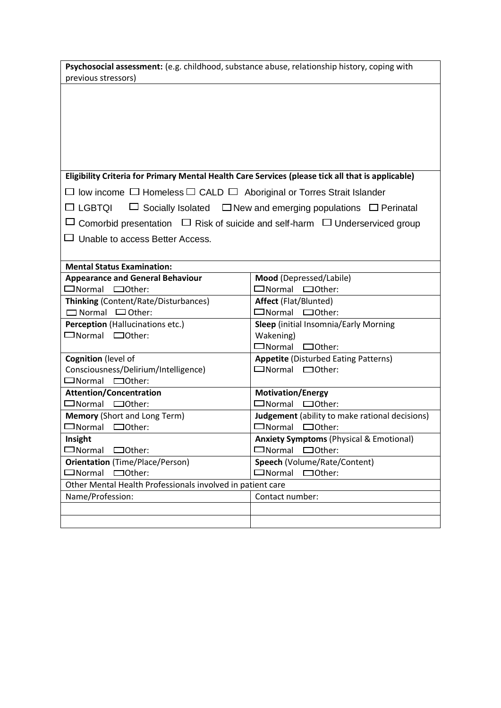|                     |  | Psychosocial assessment: (e.g. childhood, substance abuse, relationship history, coping with |
|---------------------|--|----------------------------------------------------------------------------------------------|
| previous stressors) |  |                                                                                              |

### **Eligibility Criteria for Primary Mental Health Care Services (please tick all that is applicable)**

 $\square$  low income  $\square$  Homeless  $\square$  CALD  $\square$  Aboriginal or Torres Strait Islander

 $\Box$  LGBTQI  $\Box$  Socially Isolated  $\Box$  New and emerging populations  $\Box$  Perinatal

 $\Box$  Comorbid presentation  $\Box$  Risk of suicide and self-harm  $\Box$  Underserviced group

□ Unable to access Better Access.

| <b>Mental Status Examination:</b>                          |                                                       |  |  |
|------------------------------------------------------------|-------------------------------------------------------|--|--|
| <b>Appearance and General Behaviour</b>                    | Mood (Depressed/Labile)                               |  |  |
| $\Box$ Normal $\Box$ Other:                                | $\Box$ Normal $\Box$ Other:                           |  |  |
| <b>Thinking (Content/Rate/Disturbances)</b>                | <b>Affect (Flat/Blunted)</b>                          |  |  |
| $\Box$ Normal $\Box$ Other:                                | $\Box$ Normal $\Box$ Other:                           |  |  |
| <b>Perception</b> (Hallucinations etc.)                    | Sleep (initial Insomnia/Early Morning                 |  |  |
| □Normal □Other:                                            | Wakening)                                             |  |  |
|                                                            | $\Box$ Normal<br>$\Box$ Other:                        |  |  |
| <b>Cognition</b> (level of                                 | <b>Appetite (Disturbed Eating Patterns)</b>           |  |  |
| Consciousness/Delirium/Intelligence)                       | $\Box$ Normal $\Box$ Other:                           |  |  |
| $\square$ Normal $\square$ Other:                          |                                                       |  |  |
| <b>Attention/Concentration</b>                             | <b>Motivation/Energy</b>                              |  |  |
| $\square$ Normal $\square$ Other:                          | $\Box$ Normal $\Box$ Other:                           |  |  |
| <b>Memory (Short and Long Term)</b>                        | <b>Judgement</b> (ability to make rational decisions) |  |  |
| $\Box$ Normal $\Box$ Other:                                | $\Box$ Normal $\Box$ Other:                           |  |  |
| Insight                                                    | <b>Anxiety Symptoms (Physical &amp; Emotional)</b>    |  |  |
| $\square$ Normal<br>$\Box$ Other:                          | $\Box$ Normal $\Box$ Other:                           |  |  |
| <b>Orientation</b> (Time/Place/Person)                     | Speech (Volume/Rate/Content)                          |  |  |
| $\Box$ Normal $\Box$ Other:                                | $\Box$ Normal $\Box$ Other:                           |  |  |
| Other Mental Health Professionals involved in patient care |                                                       |  |  |
| Name/Profession:                                           | Contact number:                                       |  |  |
|                                                            |                                                       |  |  |
|                                                            |                                                       |  |  |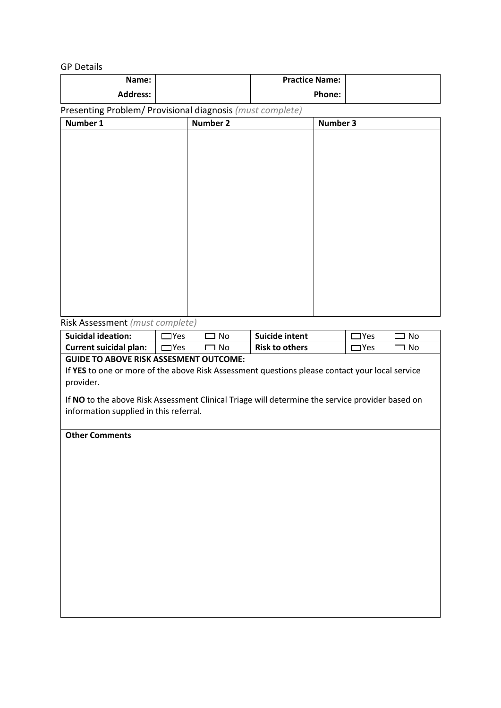GP Details

| Name:           | <b>Practice Name:</b> |  |
|-----------------|-----------------------|--|
| <b>Address:</b> | Phone:                |  |

Presenting Problem/ Provisional diagnosis *(must complete)* 

#### Risk Assessment *(must complete)*

| <b>Suicidal ideation:</b>     | 'Υρς | N٥  | Suicide intent        | 'Yes | ∵N∩ |
|-------------------------------|------|-----|-----------------------|------|-----|
| <b>Current suicidal plan:</b> | TYes | No. | <b>Risk to others</b> | ۱γρς | No. |

#### **GUIDE TO ABOVE RISK ASSESMENT OUTCOME:**

If **YES** to one or more of the above Risk Assessment questions please contact your local service provider.

If **NO** to the above Risk Assessment Clinical Triage will determine the service provider based on information supplied in this referral.

#### **Other Comments**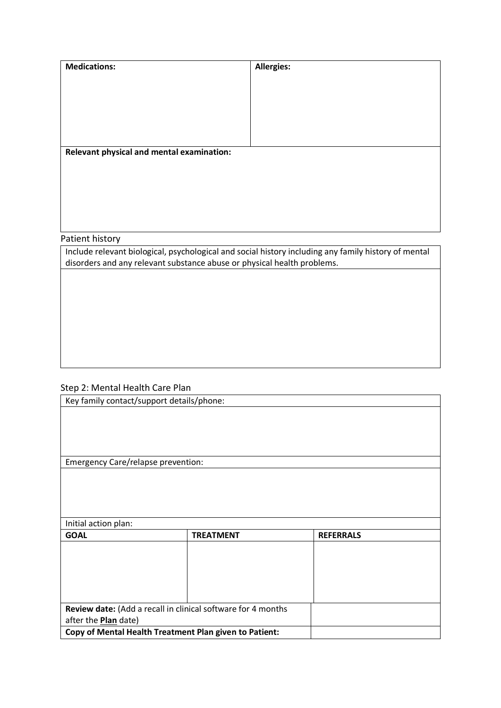| <b>Medications:</b>                                                                                  | <b>Allergies:</b>                         |  |  |  |  |
|------------------------------------------------------------------------------------------------------|-------------------------------------------|--|--|--|--|
|                                                                                                      |                                           |  |  |  |  |
|                                                                                                      |                                           |  |  |  |  |
|                                                                                                      |                                           |  |  |  |  |
|                                                                                                      |                                           |  |  |  |  |
|                                                                                                      |                                           |  |  |  |  |
|                                                                                                      |                                           |  |  |  |  |
|                                                                                                      | Relevant physical and mental examination: |  |  |  |  |
|                                                                                                      |                                           |  |  |  |  |
|                                                                                                      |                                           |  |  |  |  |
|                                                                                                      |                                           |  |  |  |  |
|                                                                                                      |                                           |  |  |  |  |
|                                                                                                      |                                           |  |  |  |  |
| Patient history                                                                                      |                                           |  |  |  |  |
| Include relevant biological, psychological and social history including any family history of mental |                                           |  |  |  |  |
| disorders and any relevant substance abuse or physical health problems.                              |                                           |  |  |  |  |
|                                                                                                      |                                           |  |  |  |  |
|                                                                                                      |                                           |  |  |  |  |
|                                                                                                      |                                           |  |  |  |  |

## Step 2: Mental Health Care Plan

| Key family contact/support details/phone: |                                                              |                  |  |
|-------------------------------------------|--------------------------------------------------------------|------------------|--|
|                                           |                                                              |                  |  |
|                                           |                                                              |                  |  |
|                                           |                                                              |                  |  |
|                                           |                                                              |                  |  |
| <b>Emergency Care/relapse prevention:</b> |                                                              |                  |  |
|                                           |                                                              |                  |  |
|                                           |                                                              |                  |  |
|                                           |                                                              |                  |  |
|                                           |                                                              |                  |  |
| Initial action plan:                      |                                                              |                  |  |
| <b>GOAL</b>                               | <b>TREATMENT</b>                                             | <b>REFERRALS</b> |  |
|                                           |                                                              |                  |  |
|                                           |                                                              |                  |  |
|                                           |                                                              |                  |  |
|                                           |                                                              |                  |  |
|                                           |                                                              |                  |  |
|                                           | Review date: (Add a recall in clinical software for 4 months |                  |  |
| after the <b>Plan</b> date)               |                                                              |                  |  |
|                                           | Copy of Mental Health Treatment Plan given to Patient:       |                  |  |